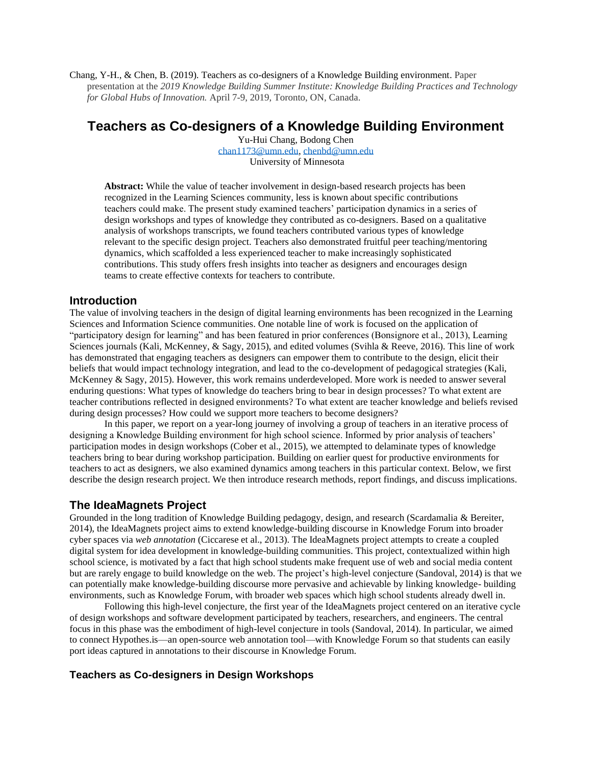Chang, Y-H., & Chen, B. (2019). Teachers as co-designers of a Knowledge Building environment. Paper presentation at the *2019 Knowledge Building Summer Institute: Knowledge Building Practices and Technology for Global Hubs of Innovation.* April 7-9, 2019, Toronto, ON, Canada.

# **Teachers as Co-designers of a Knowledge Building Environment**

Yu-Hui Chang, Bodong Chen [chan1173@umn.edu,](mailto:chan1173@umn.edu) [chenbd@umn.edu](mailto:chenbd@umn.edu) University of Minnesota

**Abstract:** While the value of teacher involvement in design-based research projects has been recognized in the Learning Sciences community, less is known about specific contributions teachers could make. The present study examined teachers' participation dynamics in a series of design workshops and types of knowledge they contributed as co-designers. Based on a qualitative analysis of workshops transcripts, we found teachers contributed various types of knowledge relevant to the specific design project. Teachers also demonstrated fruitful peer teaching/mentoring dynamics, which scaffolded a less experienced teacher to make increasingly sophisticated contributions. This study offers fresh insights into teacher as designers and encourages design teams to create effective contexts for teachers to contribute.

#### **Introduction**

The value of involving teachers in the design of digital learning environments has been recognized in the Learning Sciences and Information Science communities. One notable line of work is focused on the application of "participatory design for learning" and has been featured in prior conferences (Bonsignore et al., 2013), Learning Sciences journals (Kali, McKenney, & Sagy, 2015), and edited volumes (Svihla & Reeve, 2016). This line of work has demonstrated that engaging teachers as designers can empower them to contribute to the design, elicit their beliefs that would impact technology integration, and lead to the co-development of pedagogical strategies (Kali, McKenney & Sagy, 2015). However, this work remains underdeveloped. More work is needed to answer several enduring questions: What types of knowledge do teachers bring to bear in design processes? To what extent are teacher contributions reflected in designed environments? To what extent are teacher knowledge and beliefs revised during design processes? How could we support more teachers to become designers?

In this paper, we report on a year-long journey of involving a group of teachers in an iterative process of designing a Knowledge Building environment for high school science. Informed by prior analysis of teachers' participation modes in design workshops (Cober et al., 2015), we attempted to delaminate types of knowledge teachers bring to bear during workshop participation. Building on earlier quest for productive environments for teachers to act as designers, we also examined dynamics among teachers in this particular context. Below, we first describe the design research project. We then introduce research methods, report findings, and discuss implications.

### **The IdeaMagnets Project**

Grounded in the long tradition of Knowledge Building pedagogy, design, and research (Scardamalia & Bereiter, 2014), the IdeaMagnets project aims to extend knowledge-building discourse in Knowledge Forum into broader cyber spaces via *web annotation* (Ciccarese et al., 2013). The IdeaMagnets project attempts to create a coupled digital system for idea development in knowledge-building communities. This project, contextualized within high school science, is motivated by a fact that high school students make frequent use of web and social media content but are rarely engage to build knowledge on the web. The project's high-level conjecture (Sandoval, 2014) is that we can potentially make knowledge-building discourse more pervasive and achievable by linking knowledge- building environments, such as Knowledge Forum, with broader web spaces which high school students already dwell in.

Following this high-level conjecture, the first year of the IdeaMagnets project centered on an iterative cycle of design workshops and software development participated by teachers, researchers, and engineers. The central focus in this phase was the embodiment of high-level conjecture in tools (Sandoval, 2014). In particular, we aimed to connect Hypothes.is—an open-source web annotation tool—with Knowledge Forum so that students can easily port ideas captured in annotations to their discourse in Knowledge Forum.

### **Teachers as Co-designers in Design Workshops**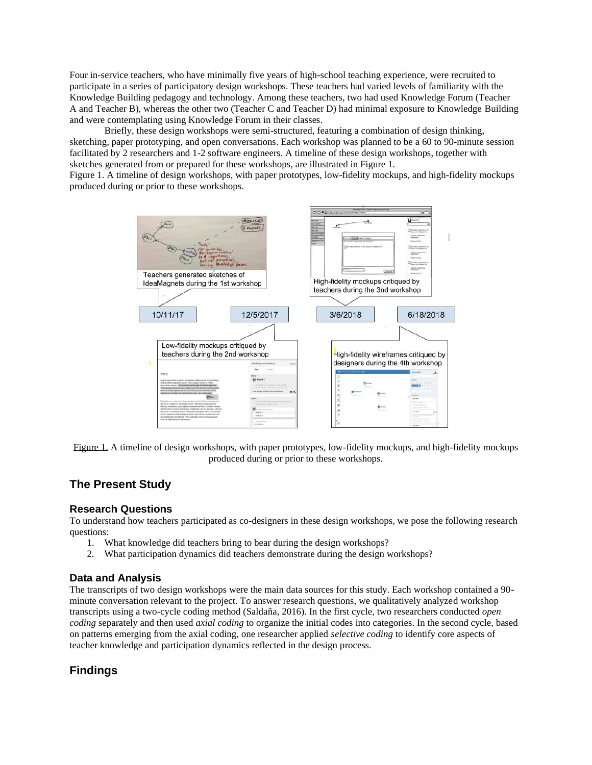Four in-service teachers, who have minimally five years of high-school teaching experience, were recruited to participate in a series of participatory design workshops. These teachers had varied levels of familiarity with the Knowledge Building pedagogy and technology. Among these teachers, two had used Knowledge Forum (Teacher A and Teacher B), whereas the other two (Teacher C and Teacher D) had minimal exposure to Knowledge Building and were contemplating using Knowledge Forum in their classes.

Briefly, these design workshops were semi-structured, featuring a combination of design thinking, sketching, paper prototyping, and open conversations. Each workshop was planned to be a 60 to 90-minute session facilitated by 2 researchers and 1-2 software engineers. A timeline of these design workshops, together with sketches generated from or prepared for these workshops, are illustrated in Figure 1.

Figure 1. A timeline of design workshops, with paper prototypes, low-fidelity mockups, and high-fidelity mockups produced during or prior to these workshops.



Figure 1. A timeline of design workshops, with paper prototypes, low-fidelity mockups, and high-fidelity mockups produced during or prior to these workshops.

# **The Present Study**

#### **Research Questions**

To understand how teachers participated as co-designers in these design workshops, we pose the following research questions:

- 1. What knowledge did teachers bring to bear during the design workshops?
- 2. What participation dynamics did teachers demonstrate during the design workshops?

#### **Data and Analysis**

The transcripts of two design workshops were the main data sources for this study. Each workshop contained a 90 minute conversation relevant to the project. To answer research questions, we qualitatively analyzed workshop transcripts using a two-cycle coding method (Saldaña, 2016). In the first cycle, two researchers conducted *open coding* separately and then used *axial coding* to organize the initial codes into categories. In the second cycle, based on patterns emerging from the axial coding, one researcher applied *selective coding* to identify core aspects of teacher knowledge and participation dynamics reflected in the design process.

### **Findings**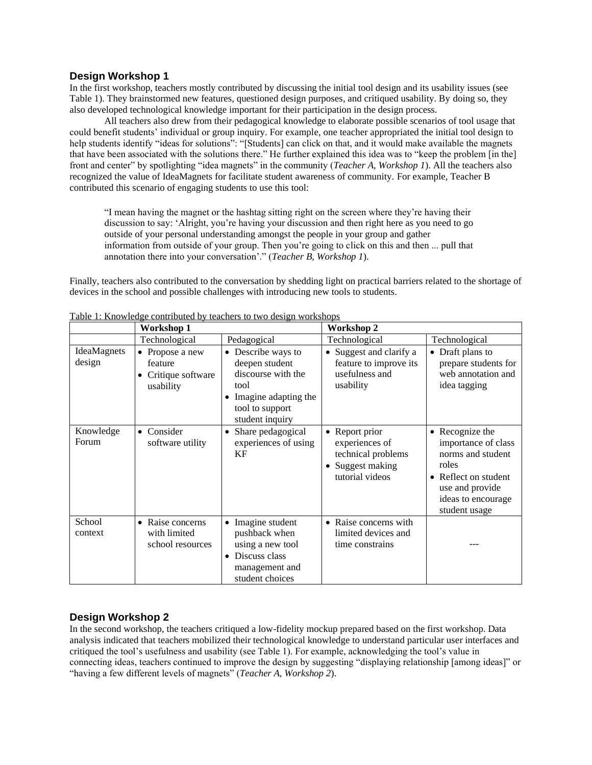#### **Design Workshop 1**

In the first workshop, teachers mostly contributed by discussing the initial tool design and its usability issues (see Table 1). They brainstormed new features, questioned design purposes, and critiqued usability. By doing so, they also developed technological knowledge important for their participation in the design process.

All teachers also drew from their pedagogical knowledge to elaborate possible scenarios of tool usage that could benefit students' individual or group inquiry. For example, one teacher appropriated the initial tool design to help students identify "ideas for solutions": "[Students] can click on that, and it would make available the magnets that have been associated with the solutions there." He further explained this idea was to "keep the problem [in the] front and center" by spotlighting "idea magnets" in the community (*Teacher A, Workshop 1*). All the teachers also recognized the value of IdeaMagnets for facilitate student awareness of community. For example, Teacher B contributed this scenario of engaging students to use this tool:

"I mean having the magnet or the hashtag sitting right on the screen where they're having their discussion to say: 'Alright, you're having your discussion and then right here as you need to go outside of your personal understanding amongst the people in your group and gather information from outside of your group. Then you're going to click on this and then ... pull that annotation there into your conversation'." (*Teacher B, Workshop 1*).

Finally, teachers also contributed to the conversation by shedding light on practical barriers related to the shortage of devices in the school and possible challenges with introducing new tools to students.

|                       | <b>Workshop 1</b>                                               |                                                                                                                                    | Workshop 2                                                                                             |                                                                                                                                                                   |
|-----------------------|-----------------------------------------------------------------|------------------------------------------------------------------------------------------------------------------------------------|--------------------------------------------------------------------------------------------------------|-------------------------------------------------------------------------------------------------------------------------------------------------------------------|
|                       | Technological                                                   | Pedagogical                                                                                                                        | Technological                                                                                          | Technological                                                                                                                                                     |
| IdeaMagnets<br>design | • Propose a new<br>feature<br>Critique software<br>usability    | • Describe ways to<br>deepen student<br>discourse with the<br>tool<br>• Imagine adapting the<br>tool to support<br>student inquiry | • Suggest and clarify a<br>feature to improve its<br>usefulness and<br>usability                       | • Draft plans to<br>prepare students for<br>web annotation and<br>idea tagging                                                                                    |
| Knowledge<br>Forum    | Consider<br>software utility                                    | Share pedagogical<br>experiences of using<br>KF                                                                                    | Report prior<br>$\bullet$<br>experiences of<br>technical problems<br>Suggest making<br>tutorial videos | • Recognize the<br>importance of class<br>norms and student<br>roles<br>Reflect on student<br>$\bullet$<br>use and provide<br>ideas to encourage<br>student usage |
| School<br>context     | Raise concerns<br>$\bullet$<br>with limited<br>school resources | Imagine student<br>pushback when<br>using a new tool<br>• Discuss class<br>management and<br>student choices                       | Raise concerns with<br>$\bullet$<br>limited devices and<br>time constrains                             |                                                                                                                                                                   |

Table 1: Knowledge contributed by teachers to two design workshops

### **Design Workshop 2**

In the second workshop, the teachers critiqued a low-fidelity mockup prepared based on the first workshop. Data analysis indicated that teachers mobilized their technological knowledge to understand particular user interfaces and critiqued the tool's usefulness and usability (see Table 1). For example, acknowledging the tool's value in connecting ideas, teachers continued to improve the design by suggesting "displaying relationship [among ideas]" or "having a few different levels of magnets" (*Teacher A, Workshop 2*).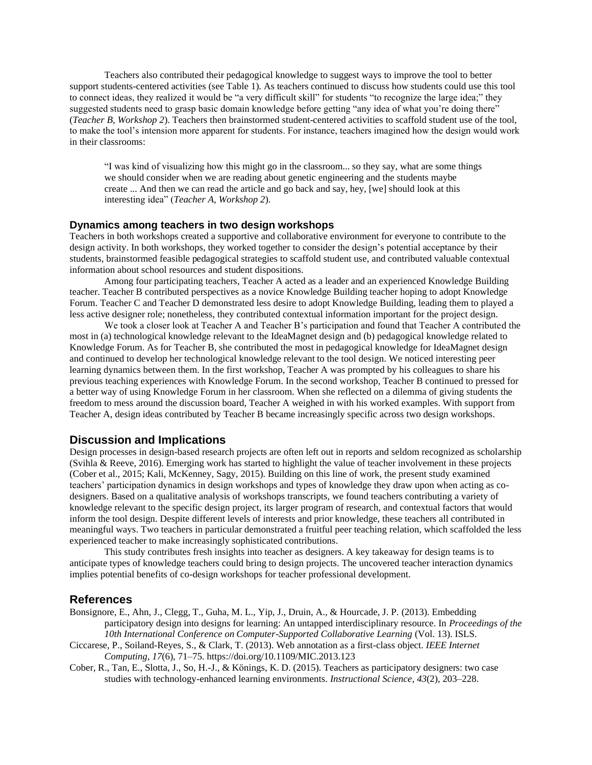Teachers also contributed their pedagogical knowledge to suggest ways to improve the tool to better support students-centered activities (see Table 1). As teachers continued to discuss how students could use this tool to connect ideas, they realized it would be "a very difficult skill" for students "to recognize the large idea;" they suggested students need to grasp basic domain knowledge before getting "any idea of what you're doing there" (*Teacher B, Workshop 2*). Teachers then brainstormed student-centered activities to scaffold student use of the tool, to make the tool's intension more apparent for students. For instance, teachers imagined how the design would work in their classrooms:

"I was kind of visualizing how this might go in the classroom... so they say, what are some things we should consider when we are reading about genetic engineering and the students maybe create ... And then we can read the article and go back and say, hey, [we] should look at this interesting idea" (*Teacher A, Workshop 2*).

#### **Dynamics among teachers in two design workshops**

Teachers in both workshops created a supportive and collaborative environment for everyone to contribute to the design activity. In both workshops, they worked together to consider the design's potential acceptance by their students, brainstormed feasible pedagogical strategies to scaffold student use, and contributed valuable contextual information about school resources and student dispositions.

Among four participating teachers, Teacher A acted as a leader and an experienced Knowledge Building teacher. Teacher B contributed perspectives as a novice Knowledge Building teacher hoping to adopt Knowledge Forum. Teacher C and Teacher D demonstrated less desire to adopt Knowledge Building, leading them to played a less active designer role; nonetheless, they contributed contextual information important for the project design.

We took a closer look at Teacher A and Teacher B's participation and found that Teacher A contributed the most in (a) technological knowledge relevant to the IdeaMagnet design and (b) pedagogical knowledge related to Knowledge Forum. As for Teacher B, she contributed the most in pedagogical knowledge for IdeaMagnet design and continued to develop her technological knowledge relevant to the tool design. We noticed interesting peer learning dynamics between them. In the first workshop, Teacher A was prompted by his colleagues to share his previous teaching experiences with Knowledge Forum. In the second workshop, Teacher B continued to pressed for a better way of using Knowledge Forum in her classroom. When she reflected on a dilemma of giving students the freedom to mess around the discussion board, Teacher A weighed in with his worked examples. With support from Teacher A, design ideas contributed by Teacher B became increasingly specific across two design workshops.

### **Discussion and Implications**

Design processes in design-based research projects are often left out in reports and seldom recognized as scholarship (Svihla & Reeve, 2016). Emerging work has started to highlight the value of teacher involvement in these projects (Cober et al., 2015; Kali, McKenney, Sagy, 2015). Building on this line of work, the present study examined teachers' participation dynamics in design workshops and types of knowledge they draw upon when acting as codesigners. Based on a qualitative analysis of workshops transcripts, we found teachers contributing a variety of knowledge relevant to the specific design project, its larger program of research, and contextual factors that would inform the tool design. Despite different levels of interests and prior knowledge, these teachers all contributed in meaningful ways. Two teachers in particular demonstrated a fruitful peer teaching relation, which scaffolded the less experienced teacher to make increasingly sophisticated contributions.

This study contributes fresh insights into teacher as designers. A key takeaway for design teams is to anticipate types of knowledge teachers could bring to design projects. The uncovered teacher interaction dynamics implies potential benefits of co-design workshops for teacher professional development.

#### **References**

- Bonsignore, E., Ahn, J., Clegg, T., Guha, M. L., Yip, J., Druin, A., & Hourcade, J. P. (2013). Embedding participatory design into designs for learning: An untapped interdisciplinary resource. In *Proceedings of the*  10th International Conference on Computer-Supported Collaborative Learning (Vol. 13). ISLS.
- Ciccarese, P., Soiland-Reyes, S., & Clark, T. (2013). Web annotation as a first-class object. *IEEE Internet Computing*, *17*(6), 71–75. https://doi.org/10.1109/MIC.2013.123
- Cober, R., Tan, E., Slotta, J., So, H.-J., & Könings, K. D. (2015). Teachers as participatory designers: two case studies with technology-enhanced learning environments. *Instructional Science*, *43*(2), 203–228.